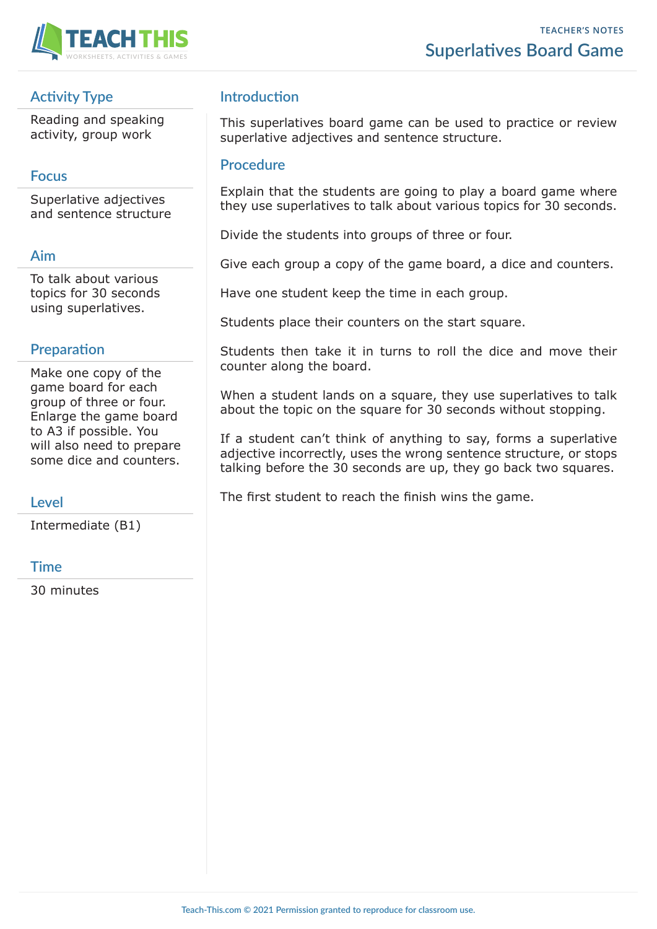

# **Activity Type**

Reading and speaking activity, group work

## **Focus**

Superlative adjectives and sentence structure

#### **Aim**

To talk about various topics for 30 seconds using superlatives.

## **Preparation**

Make one copy of the game board for each group of three or four. Enlarge the game board to A3 if possible. You will also need to prepare some dice and counters.

## **Level**

Intermediate (B1)

## **Time**

30 minutes

# **Introduction**

This superlatives board game can be used to practice or review superlative adjectives and sentence structure.

#### **Procedure**

Explain that the students are going to play a board game where they use superlatives to talk about various topics for 30 seconds.

Divide the students into groups of three or four.

Give each group a copy of the game board, a dice and counters.

Have one student keep the time in each group.

Students place their counters on the start square.

Students then take it in turns to roll the dice and move their counter along the board.

When a student lands on a square, they use superlatives to talk about the topic on the square for 30 seconds without stopping.

If a student can't think of anything to say, forms a superlative adjective incorrectly, uses the wrong sentence structure, or stops talking before the 30 seconds are up, they go back two squares.

The first student to reach the finish wins the game.